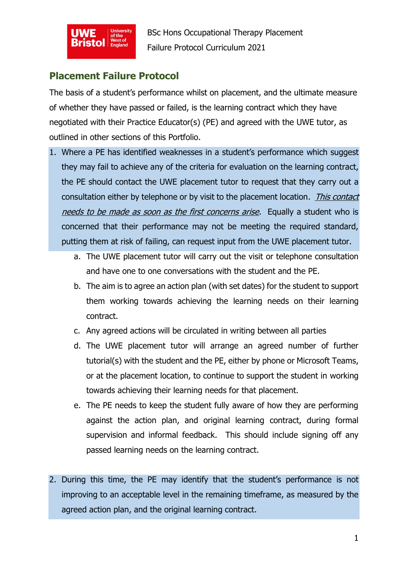

BSc Hons Occupational Therapy Placement Failure Protocol Curriculum 2021

## **Placement Failure Protocol**

The basis of a student's performance whilst on placement, and the ultimate measure of whether they have passed or failed, is the learning contract which they have negotiated with their Practice Educator(s) (PE) and agreed with the UWE tutor, as outlined in other sections of this Portfolio.

- 1. Where a PE has identified weaknesses in a student's performance which suggest they may fail to achieve any of the criteria for evaluation on the learning contract, the PE should contact the UWE placement tutor to request that they carry out a consultation either by telephone or by visit to the placement location. *This contact* needs to be made as soon as the first concerns arise. Equally a student who is concerned that their performance may not be meeting the required standard, putting them at risk of failing, can request input from the UWE placement tutor.
	- a. The UWE placement tutor will carry out the visit or telephone consultation and have one to one conversations with the student and the PE.
	- b. The aim is to agree an action plan (with set dates) for the student to support them working towards achieving the learning needs on their learning contract.
	- c. Any agreed actions will be circulated in writing between all parties
	- d. The UWE placement tutor will arrange an agreed number of further tutorial(s) with the student and the PE, either by phone or Microsoft Teams, or at the placement location, to continue to support the student in working towards achieving their learning needs for that placement.
	- e. The PE needs to keep the student fully aware of how they are performing against the action plan, and original learning contract, during formal supervision and informal feedback. This should include signing off any passed learning needs on the learning contract.
- 2. During this time, the PE may identify that the student's performance is not improving to an acceptable level in the remaining timeframe, as measured by the agreed action plan, and the original learning contract.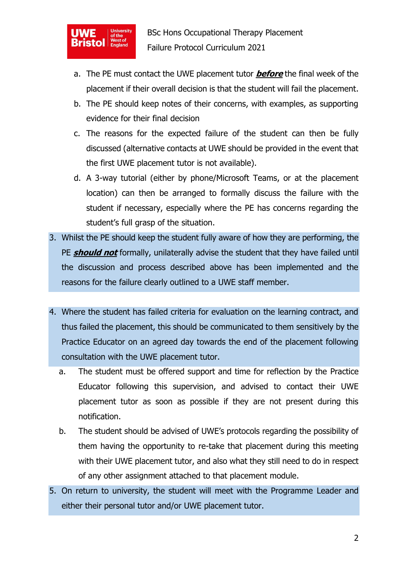

- a. The PE must contact the UWE placement tutor **before** the final week of the placement if their overall decision is that the student will fail the placement.
- b. The PE should keep notes of their concerns, with examples, as supporting evidence for their final decision
- c. The reasons for the expected failure of the student can then be fully discussed (alternative contacts at UWE should be provided in the event that the first UWE placement tutor is not available).
- d. A 3-way tutorial (either by phone/Microsoft Teams, or at the placement location) can then be arranged to formally discuss the failure with the student if necessary, especially where the PE has concerns regarding the student's full grasp of the situation.
- 3. Whilst the PE should keep the student fully aware of how they are performing, the PE **should not** formally, unilaterally advise the student that they have failed until the discussion and process described above has been implemented and the reasons for the failure clearly outlined to a UWE staff member.
- 4. Where the student has failed criteria for evaluation on the learning contract, and thus failed the placement, this should be communicated to them sensitively by the Practice Educator on an agreed day towards the end of the placement following consultation with the UWE placement tutor.
	- a. The student must be offered support and time for reflection by the Practice Educator following this supervision, and advised to contact their UWE placement tutor as soon as possible if they are not present during this notification.
	- b. The student should be advised of UWE's protocols regarding the possibility of them having the opportunity to re-take that placement during this meeting with their UWE placement tutor, and also what they still need to do in respect of any other assignment attached to that placement module.
- 5. On return to university, the student will meet with the Programme Leader and either their personal tutor and/or UWE placement tutor.